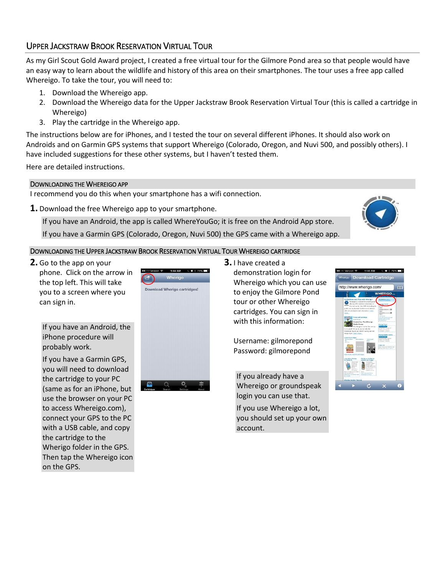## UPPER JACKSTRAW BROOK RESERVATION VIRTUAL TOUR

As my Girl Scout Gold Award project, I created a free virtual tour for the Gilmore Pond area so that people would have an easy way to learn about the wildlife and history of this area on their smartphones. The tour uses a free app called Whereigo. To take the tour, you will need to:

- 1. Download the Whereigo app.
- 2. Download the Whereigo data for the Upper Jackstraw Brook Reservation Virtual Tour (this is called a cartridge in Whereigo)
- 3. Play the cartridge in the Whereigo app.

The instructions below are for iPhones, and I tested the tour on several different iPhones. It should also work on Androids and on Garmin GPS systems that support Whereigo (Colorado, Oregon, and Nuvi 500, and possibly others). I have included suggestions for these other systems, but I haven't tested them.

Here are detailed instructions.

## DOWNLOADING THE WHEREIGO APP

I recommend you do this when your smartphone has a wifi connection.

**1.** Download the free Whereigo app to your smartphone.

If you have an Android, the app is called WhereYouGo; it is free on the Android App store.

If you have a Garmin GPS (Colorado, Oregon, Nuvi 500) the GPS came with a Whereigo app.

## DOWNLOADING THE UPPER JACKSTRAW BROOK RESERVATION VIRTUAL TOUR WHEREIGO CARTRIDGE

**2.** Go to the app on your phone. Click on the arrow in the top left. This will take you to a screen where you can sign in.

> If you have an Android, the iPhone procedure will probably work.

If you have a Garmin GPS, you will need to download the cartridge to your PC (same as for an iPhone, but use the browser on your PC to access Whereigo.com), connect your GPS to the PC with a USB cable, and copy the cartridge to the Wherigo folder in the GPS. Then tap the Whereigo icon on the GPS.



**3.** I have created a demonstration login for Whereigo which you can use to enjoy the Gilmore Pond tour or other Whereigo cartridges. You can sign in

Username: gilmorepond Password: gilmorepond

with this information:

If you already have a Whereigo or groundspeak login you can use that.

If you use Whereigo a lot, you should set up your own account.